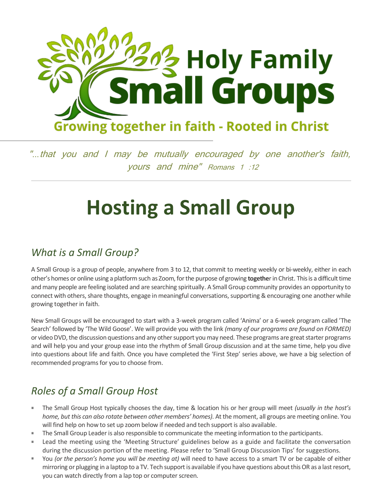

"*…*that you and I may be mutually encouraged by one another's faith, yours and mine" Romans 1 :12

# **Hosting a Small Group**

### *What is a Small Group?*

A Small Group is a group of people, anywhere from 3 to 12, that commit to meeting weekly or bi-weekly, either in each other's homes or online using a platformsuch as Zoom, for the purpose of growing **togethe**r in Christ. This is a difficult time and many people are feeling isolated and are searching spiritually. A Small Group community provides an opportunity to connect with others, share thoughts, engage in meaningful conversations, supporting & encouraging one another while growing together in faith.

New Small Groups will be encouraged to start with a 3-week program called 'Anima' or a 6-week program called 'The Search' followed by 'The Wild Goose'. We will provide you with the link *(many of our programs are found on FORMED)* or video DVD, the discussion questions and any other support you may need. These programs are great starter programs and will help you and your group ease into the rhythm of Small Group discussion and at the same time, help you dive into questions about life and faith. Once you have completed the 'First Step' series above, we have a big selection of recommended programs for you to choose from.

## *Roles of a Small Group Host*

- ×. The Small Group Host typically chooses the day, time & location his or her group will meet *(usually in the host's home, but this can also rotate between other members' homes)*. At the moment, all groups are meeting online. You will find help on how to set up zoom below if needed and tech support is also available.
- The Small Group Leader is also responsible to communicate the meeting information to the participants.
- Lead the meeting using the 'Meeting Structure' guidelines below as a guide and facilitate the conversation during the discussion portion of the meeting. Please refer to 'Small Group Discussion Tips' for suggestions.
- $\mathbf{u}$ You *(or the person's home you will be meeting at)* will need to have access to a smart TV or be capable of either mirroring or plugging in a laptop to a TV. Tech support is available if you have questions about this OR as a last resort, you can watch directly from a lap top or computer screen.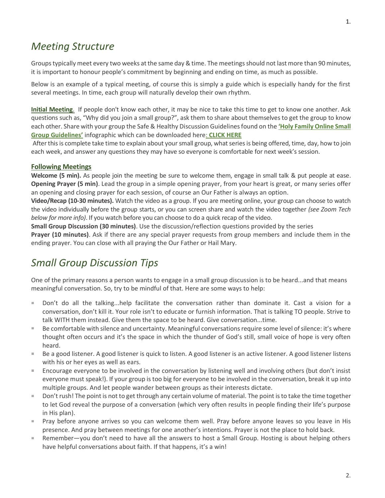Groups typically meet every two weeks atthe same day & time. The meetings should not last more than 90 minutes, it is important to honour people's commitment by beginning and ending on time, as much as possible.

Below is an example of a typical meeting, of course this is simply a guide which is especially handy for the first several meetings. In time, each group will naturally develop their own rhythm.

**Initial Meeting**. If people don't know each other, it may be nice to take this time to get to know one another. Ask questions such as, "Why did you join a small group?", ask them to share about themselves to get the group to know each other. Share with your group the Safe & Healthy Discussion Guidelines found on the **['Holy Family Online Small](https://www.holyfamilywhitby.ca/wp-content/uploads/2020/04/Online-small-group-guidelines-1.pdf)  [Group Guidelines'](https://www.holyfamilywhitby.ca/wp-content/uploads/2020/04/Online-small-group-guidelines-1.pdf)** infographic which can be downloaded here: **[CLICK HERE](https://www.holyfamilywhitby.ca/wp-content/uploads/2020/04/Online-small-group-guidelines-1.pdf)**

After this is complete take time to explain about your small group, what series is being offered, time, day, how to join each week, and answer any questions they may have so everyone is comfortable for next week's session.

#### **Following Meetings**

**Welcome (5 min).** As people join the meeting be sure to welcome them, engage in small talk & put people at ease. **Opening Prayer (5 min)**. Lead the group in a simple opening prayer, from your heart is great, or many series offer an opening and closing prayer for each session, of course an Our Father is always an option.

**Video/Recap (10-30 minutes).** Watch the video as a group. If you are meeting online, your group can choose to watch the video individually before the group starts, or you can screen share and watch the video together *(see Zoom Tech below for more info)*. If you watch before you can choose to do a quick recap of the video.

**Small Group Discussion (30 minutes)**. Use the discussion/reflection questions provided by the series

**Prayer (10 minutes)**. Ask if there are any special prayer requests from group members and include them in the ending prayer. You can close with all praying the Our Father or Hail Mary.

### *Small Group Discussion Tips*

One of the primary reasons a person wants to engage in a small group discussion is to be heard...and that means meaningful conversation. So, try to be mindful of that. Here are some ways to help:

- $\alpha$ Don't do all the talking...help facilitate the conversation rather than dominate it. Cast a vision for a conversation, don't kill it. Your role isn't to educate or furnish information. That is talking TO people. Strive to talk WITH them instead. Give them the space to be heard. Give conversation...time.
- Be comfortable with silence and uncertainty. Meaningful conversations require some level of silence: it's where thought often occurs and it's the space in which the thunder of God's still, small voice of hope is very often heard.
- Be a good listener. A good listener is quick to listen. A good listener is an active listener. A good listener listens with his or her eyes as well as ears.
- Encourage everyone to be involved in the conversation by listening well and involving others (but don't insist  $\mathcal{L}_{\mathcal{A}}$ everyone must speak!). If your group is too big for everyone to be involved in the conversation, break it up into multiple groups. And let people wander between groups as their interests dictate.
- H. Don't rush! The point is not to get through any certain volume of material. The point is to take the time together to let God reveal the purpose of a conversation (which very often results in people finding their life's purpose in His plan).
- **Pray before anyone arrives so you can welcome them well. Pray before anyone leaves so you leave in His** presence. And pray between meetings for one another's intentions. Prayer is not the place to hold back.
- $\blacksquare$ Remember—you don't need to have all the answers to host a Small Group. Hosting is about helping others have helpful conversations about faith. If that happens, it's a win!